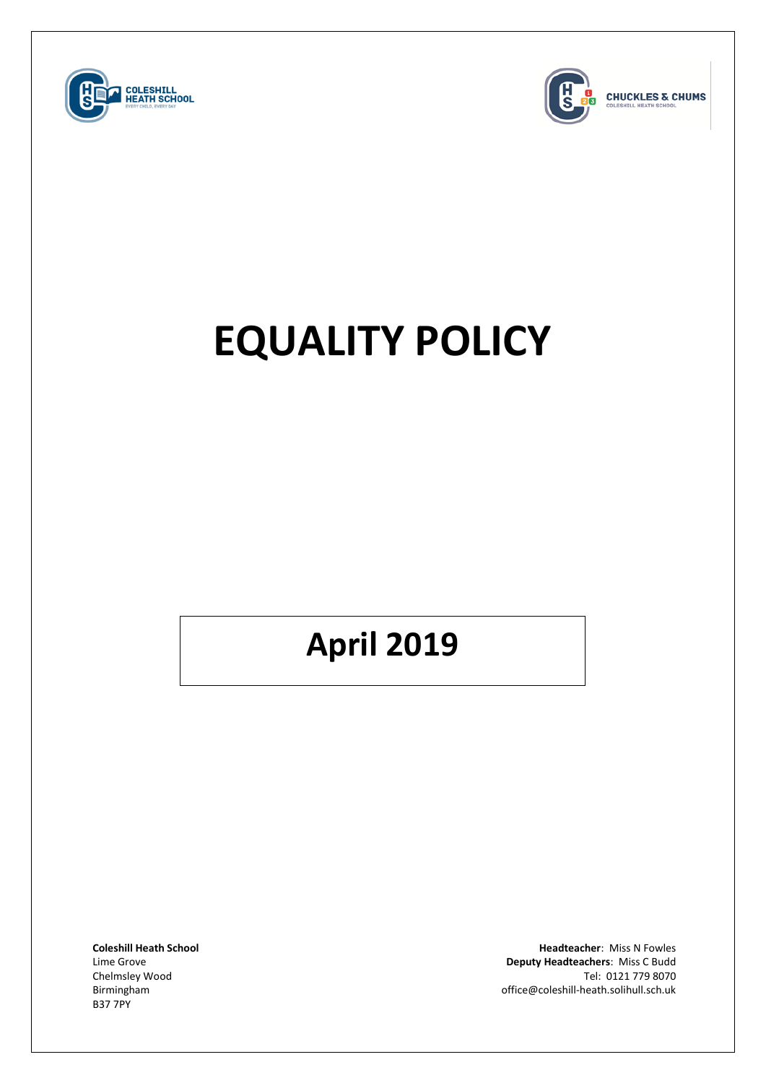



**CHUCKLES & CHUMS** 

# **EQUALITY POLICY**

## **April 2019**

B37 7PY

**Coleshill Heath School Headteacher**: Miss N Fowles Lime Grove **Deputy Headteachers**: Miss C Budd Chelmsley Wood Tel: 0121 779 8070<br>Tel: 0121 779 8070<br>Office@coleshill-heath.solihull.sch.uk birmingham office@coleshill-heath.solihull.sch.uk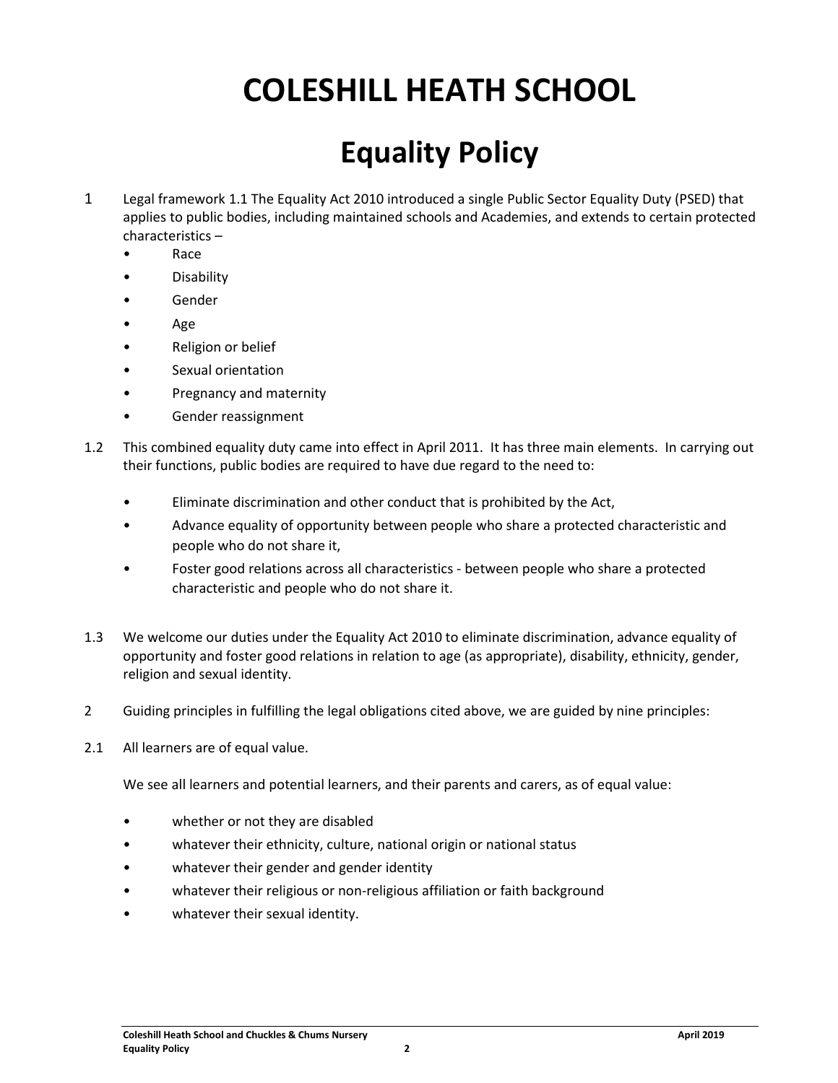### **COLESHILL HEATH SCHOOL**

#### **Equality Policy**

- 1 Legal framework 1.1 The Equality Act 2010 introduced a single Public Sector Equality Duty (PSED) that applies to public bodies, including maintained schools and Academies, and extends to certain protected characteristics –
	- Race
	- Disability
	- **Gender**
	- Age
	- Religion or belief
	- Sexual orientation
	- Pregnancy and maternity
	- Gender reassignment
- 1.2 This combined equality duty came into effect in April 2011. It has three main elements. In carrying out their functions, public bodies are required to have due regard to the need to:
	- Eliminate discrimination and other conduct that is prohibited by the Act,
	- Advance equality of opportunity between people who share a protected characteristic and people who do not share it,
	- Foster good relations across all characteristics between people who share a protected characteristic and people who do not share it.
- 1.3 We welcome our duties under the Equality Act 2010 to eliminate discrimination, advance equality of opportunity and foster good relations in relation to age (as appropriate), disability, ethnicity, gender, religion and sexual identity.
- 2 Guiding principles in fulfilling the legal obligations cited above, we are guided by nine principles:
- 2.1 All learners are of equal value.

We see all learners and potential learners, and their parents and carers, as of equal value:

- whether or not they are disabled
- whatever their ethnicity, culture, national origin or national status
- whatever their gender and gender identity
- whatever their religious or non-religious affiliation or faith background
- whatever their sexual identity.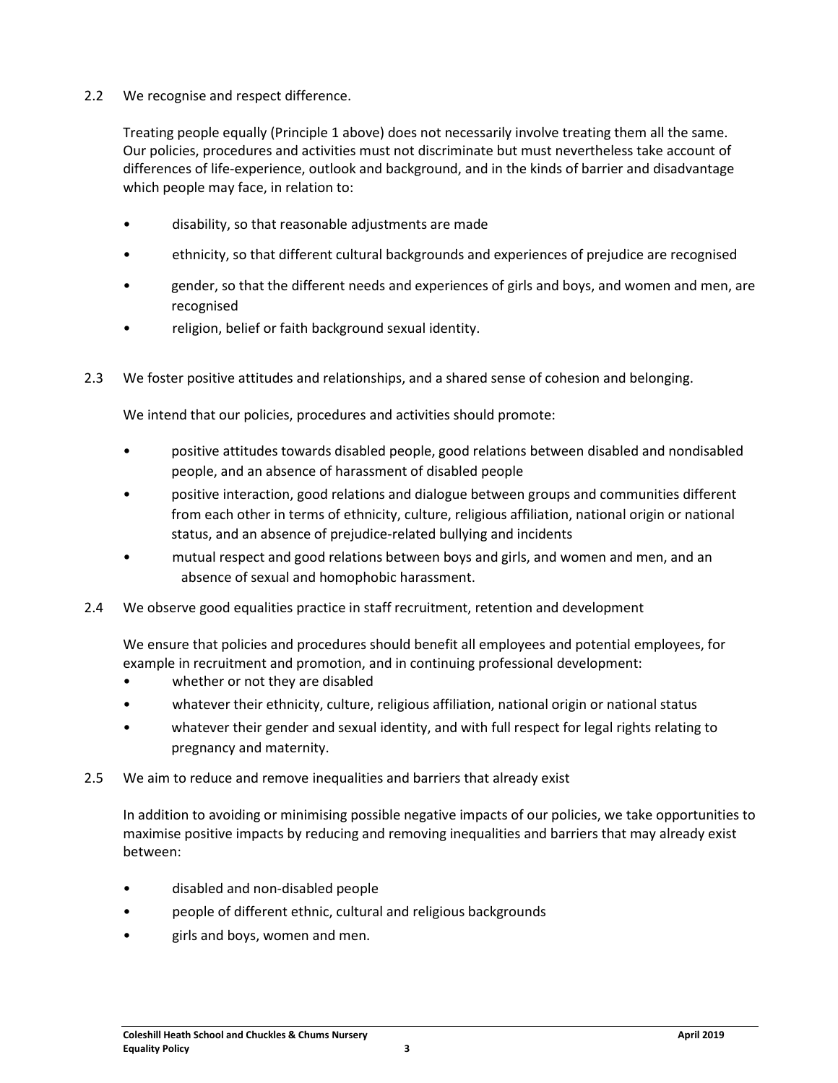2.2 We recognise and respect difference.

Treating people equally (Principle 1 above) does not necessarily involve treating them all the same. Our policies, procedures and activities must not discriminate but must nevertheless take account of differences of life-experience, outlook and background, and in the kinds of barrier and disadvantage which people may face, in relation to:

- disability, so that reasonable adjustments are made
- ethnicity, so that different cultural backgrounds and experiences of prejudice are recognised
- gender, so that the different needs and experiences of girls and boys, and women and men, are recognised
- religion, belief or faith background sexual identity.
- 2.3 We foster positive attitudes and relationships, and a shared sense of cohesion and belonging.

We intend that our policies, procedures and activities should promote:

- positive attitudes towards disabled people, good relations between disabled and nondisabled people, and an absence of harassment of disabled people
- positive interaction, good relations and dialogue between groups and communities different from each other in terms of ethnicity, culture, religious affiliation, national origin or national status, and an absence of prejudice-related bullying and incidents
- mutual respect and good relations between boys and girls, and women and men, and an absence of sexual and homophobic harassment.
- 2.4 We observe good equalities practice in staff recruitment, retention and development

We ensure that policies and procedures should benefit all employees and potential employees, for example in recruitment and promotion, and in continuing professional development:

- whether or not they are disabled
- whatever their ethnicity, culture, religious affiliation, national origin or national status
- whatever their gender and sexual identity, and with full respect for legal rights relating to pregnancy and maternity.
- 2.5 We aim to reduce and remove inequalities and barriers that already exist

In addition to avoiding or minimising possible negative impacts of our policies, we take opportunities to maximise positive impacts by reducing and removing inequalities and barriers that may already exist between:

- disabled and non-disabled people
- people of different ethnic, cultural and religious backgrounds
- girls and boys, women and men.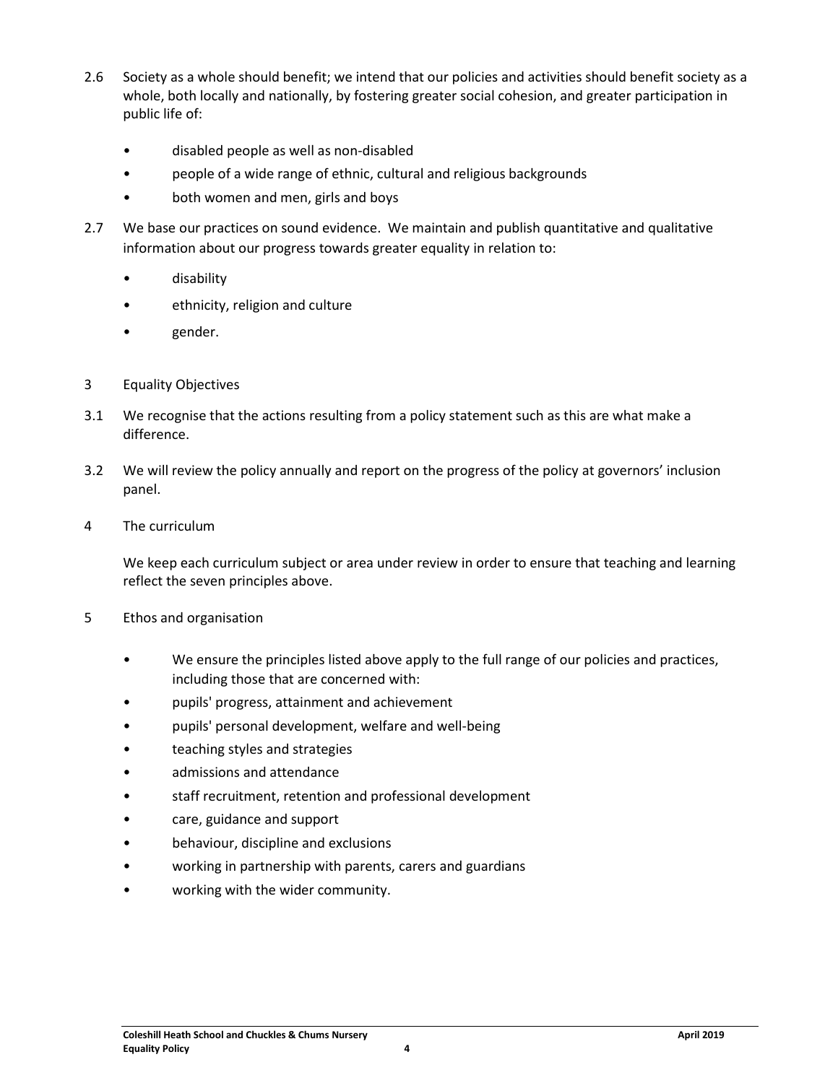- 2.6 Society as a whole should benefit; we intend that our policies and activities should benefit society as a whole, both locally and nationally, by fostering greater social cohesion, and greater participation in public life of:
	- disabled people as well as non-disabled
	- people of a wide range of ethnic, cultural and religious backgrounds
	- both women and men, girls and boys
- 2.7 We base our practices on sound evidence. We maintain and publish quantitative and qualitative information about our progress towards greater equality in relation to:
	- disability
	- ethnicity, religion and culture
	- gender.
- 3 Equality Objectives
- 3.1 We recognise that the actions resulting from a policy statement such as this are what make a difference.
- 3.2 We will review the policy annually and report on the progress of the policy at governors' inclusion panel.
- 4 The curriculum

We keep each curriculum subject or area under review in order to ensure that teaching and learning reflect the seven principles above.

- 5 Ethos and organisation
	- We ensure the principles listed above apply to the full range of our policies and practices, including those that are concerned with:
	- pupils' progress, attainment and achievement
	- pupils' personal development, welfare and well-being
	- teaching styles and strategies
	- admissions and attendance
	- staff recruitment, retention and professional development
	- care, guidance and support
	- behaviour, discipline and exclusions
	- working in partnership with parents, carers and guardians
	- working with the wider community.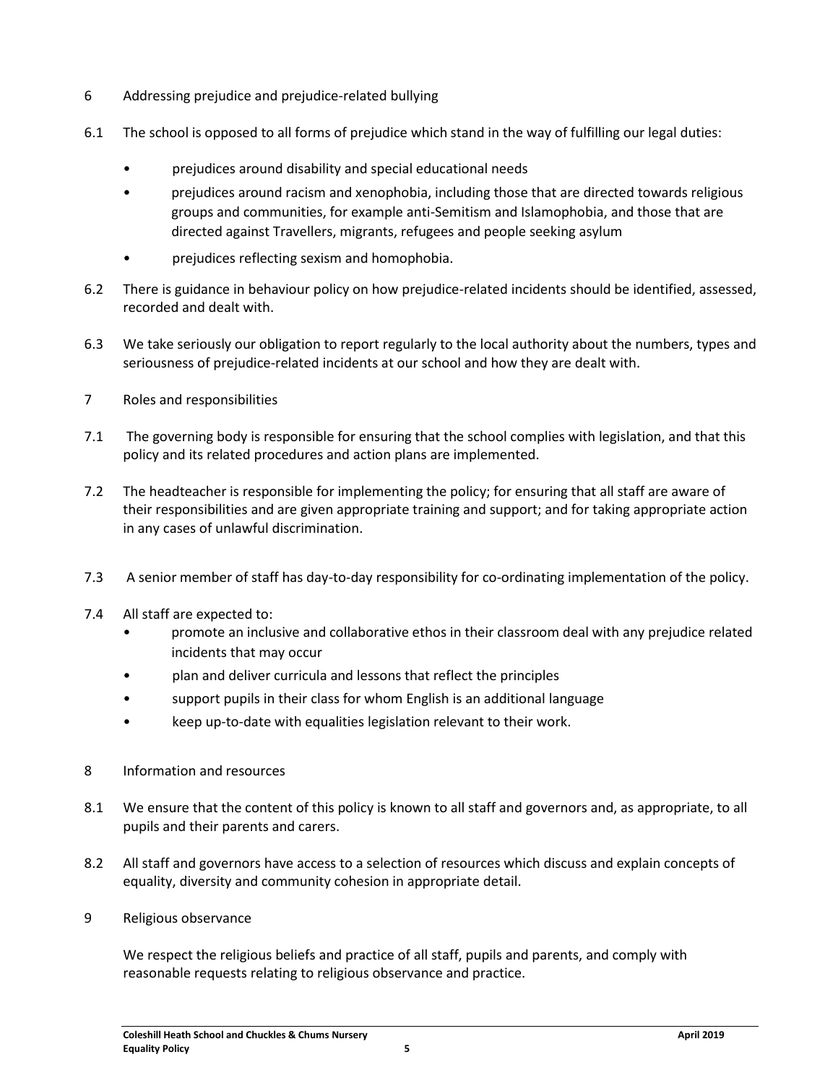- 6 Addressing prejudice and prejudice-related bullying
- 6.1 The school is opposed to all forms of prejudice which stand in the way of fulfilling our legal duties:
	- prejudices around disability and special educational needs
	- prejudices around racism and xenophobia, including those that are directed towards religious groups and communities, for example anti-Semitism and Islamophobia, and those that are directed against Travellers, migrants, refugees and people seeking asylum
	- prejudices reflecting sexism and homophobia.
- 6.2 There is guidance in behaviour policy on how prejudice-related incidents should be identified, assessed, recorded and dealt with.
- 6.3 We take seriously our obligation to report regularly to the local authority about the numbers, types and seriousness of prejudice-related incidents at our school and how they are dealt with.
- 7 Roles and responsibilities
- 7.1 The governing body is responsible for ensuring that the school complies with legislation, and that this policy and its related procedures and action plans are implemented.
- 7.2 The headteacher is responsible for implementing the policy; for ensuring that all staff are aware of their responsibilities and are given appropriate training and support; and for taking appropriate action in any cases of unlawful discrimination.
- 7.3 A senior member of staff has day-to-day responsibility for co-ordinating implementation of the policy.
- 7.4 All staff are expected to:
	- promote an inclusive and collaborative ethos in their classroom deal with any prejudice related incidents that may occur
	- plan and deliver curricula and lessons that reflect the principles
	- support pupils in their class for whom English is an additional language
	- keep up-to-date with equalities legislation relevant to their work.
- 8 Information and resources
- 8.1 We ensure that the content of this policy is known to all staff and governors and, as appropriate, to all pupils and their parents and carers.
- 8.2 All staff and governors have access to a selection of resources which discuss and explain concepts of equality, diversity and community cohesion in appropriate detail.
- 9 Religious observance

We respect the religious beliefs and practice of all staff, pupils and parents, and comply with reasonable requests relating to religious observance and practice.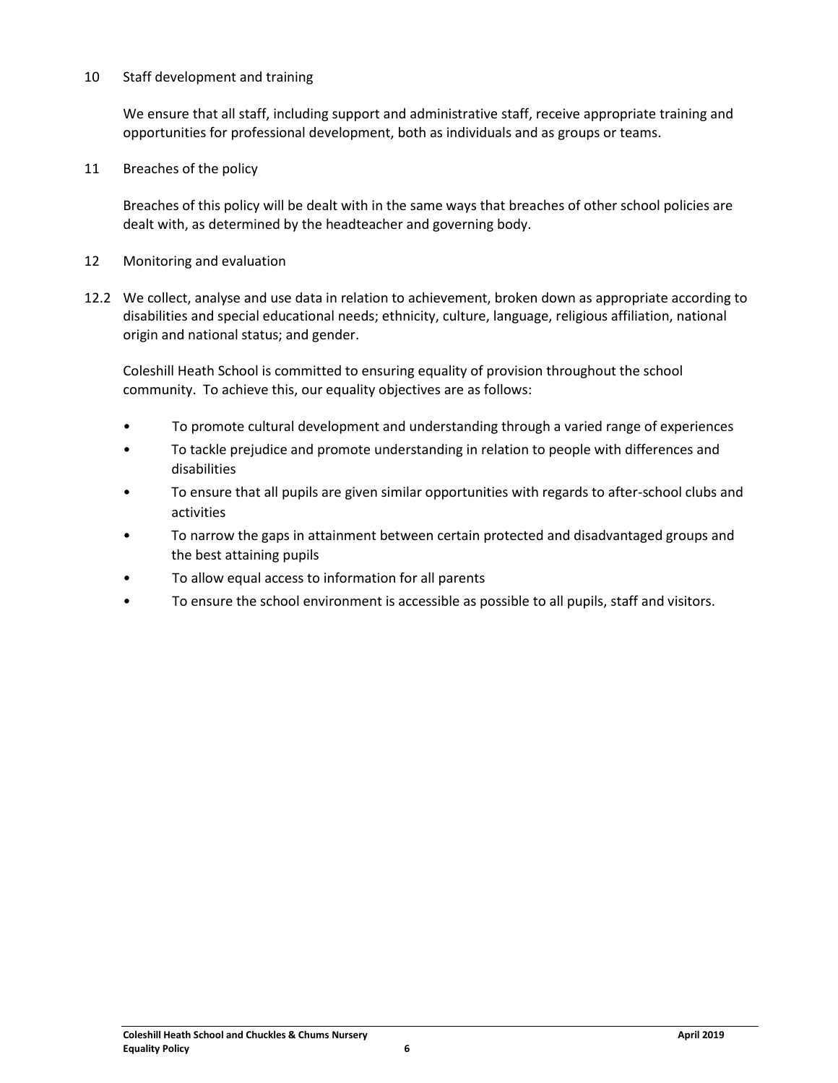#### 10 Staff development and training

We ensure that all staff, including support and administrative staff, receive appropriate training and opportunities for professional development, both as individuals and as groups or teams.

11 Breaches of the policy

Breaches of this policy will be dealt with in the same ways that breaches of other school policies are dealt with, as determined by the headteacher and governing body.

- 12 Monitoring and evaluation
- 12.2 We collect, analyse and use data in relation to achievement, broken down as appropriate according to disabilities and special educational needs; ethnicity, culture, language, religious affiliation, national origin and national status; and gender.

Coleshill Heath School is committed to ensuring equality of provision throughout the school community. To achieve this, our equality objectives are as follows:

- To promote cultural development and understanding through a varied range of experiences
- To tackle prejudice and promote understanding in relation to people with differences and disabilities
- To ensure that all pupils are given similar opportunities with regards to after-school clubs and activities
- To narrow the gaps in attainment between certain protected and disadvantaged groups and the best attaining pupils
- To allow equal access to information for all parents
- To ensure the school environment is accessible as possible to all pupils, staff and visitors.